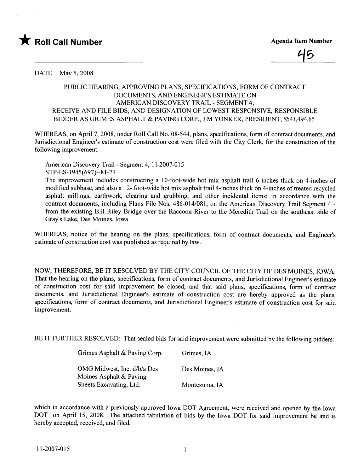



DATE May 5, 2008

## PUBLIC HEARIG, APPROVING PLANS, SPECIFICATIONS, FORM OF CONTRACT DOCUMENTS, AND ENGINEER'S ESTIMATE ON AMERICAN DISCOVERY TRAIL - SEGMENT 4; RECEIVE AND FILE BIDS; AND DESIGNATION OF LOWEST RESPONSIVE, RESPONSIBLE BIDDER AS GRIMES ASPHALT & PAVING CORP., J M YONKER, PRESIDENT, \$541,494.65

WHEREAS, on April 7, 2008, under Roll Call No. 08-544, plans, specifications, form of contract documents, and Jurisdictional Engineer's estimate of construction cost were fied with the City Clerk, for the construction of the following improvement:

American Discovery Trail- Segment 4, 11-2007-015 STP-ES-1945(697)--81-77

The improvement includes constructing a 10-foot-wide hot mix asphalt trail 6-inches thick on 4-inches of modified subbase, and also a 12- foot-wide hot mix asphalt trail 4-inches thick on 4-inches of treated recycled asphalt milings, earthwork, clearing and grubbing, and other incidental items; in accordance with the contract documents, including Plans File Nos. 486-014/081, on the American Discovery Trail Segment 4 from the existing Bill Riley Bridge over the Raccoon River to the Meredith Trail on the southeast side of Gray's Lake, Des Moines, Iowa

WHREAS, notice of the hearing on the plans, specifications, form of contract documents, and Engineer's estimate of construction cost was published as required by law.

NOW, THEREFORE, BE IT RESOLVED BY THE CITY COUNCIL OF THE CITY OF DES MOINES, IOWA: That the hearing on the plans, specifications, form of contract documents, and Jurisdictional Engineer's estimate of construction cost for said improvement be closed; and that said plans, specifications, form of contract documents, and Jurisdictional Engineer's estimate of construction cost are hereby approved as the plans, specifications, form of contract documents, and Jurisdictional Engineer's estimate of construction cost for said improvement.

BE IT FURTHER RESOLVED: That sealed bids for said improvement were submitted by the following bidders:

| Grimes Asphalt & Paving Corp.                          | Grimes, IA     |
|--------------------------------------------------------|----------------|
| OMG Midwest, Inc. d/b/a Des<br>Moines Asphalt & Paving | Des Moines, IA |
| Sheets Excavating, Ltd.                                | Montezuma, IA  |

which in accordance with a previously approved Iowa DOT Agreement, were received and opened by the Iowa DOT on April 15, 2008. The attached tabulation of bids by the Iowa DOT for said improvement be and is hereby accepted, received, and filed.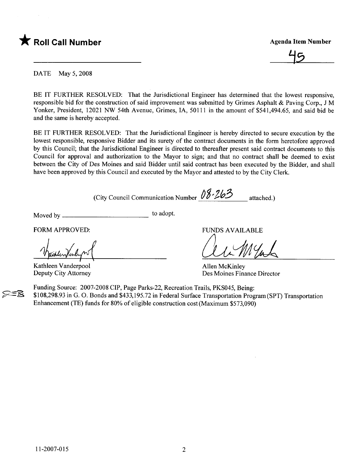



DATE May 5, 2008

BE IT FURTHER RESOLVED: That the Jurisdictional Engineer has determined that the lowest responsive, responsible bid for the construction of said improvement was submitted by Grimes Asphalt & Paving Corp., J M Yonker, President, 12021 NW 54th Avenue, Grimes, lA, 50111 in the amount of \$541,494.65, and said bid be and the same is hereby accepted.

BE IT FURTHER RESOLVED: That the Jurisdictional Engineer is hereby directed to secure execution by the lowest responsible, responsive Bidder and its surety of the contract documents in the form heretofore approved by this Council; that the Jurisdictional Engineer is directed to thereafter present said contract documents to this Council for approval and authorization to the Mayor to sign; and that no contract shall be deemed to exist between the City of Des Moines and said Bidder until said contract has been executed by the Bidder, and shall have been approved by this Council and executed by the Mayor and attested to by the City Clerk.

(City Council Communication Number  $08.263$  attached.)

Moved by to adopt.

FORM APPROVED:

Maduntanlyn

Deputy City Attorney

FUNDS AVAILABLE

au Mal

Allen McKinley Des Moines Finance Director

Funding Source: 2007-2008 CIP, Page Parks-22, Recreation Trails, PKS045, Being: \$108,298.93 in G. O. Bonds and \$433,195.72 in Federal Surface Transportation Program (SPT) Transportation Enhancement (TE) funds for 80% of eligible construction cost (Maximum \$573,090)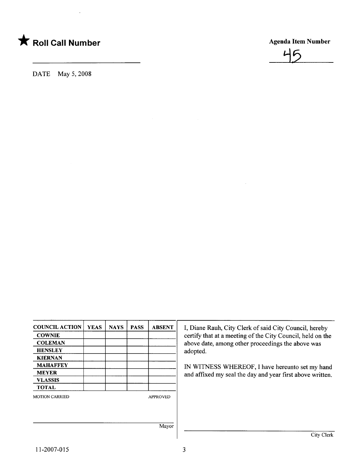

DATE May 5, 2008



| <b>COUNCIL ACTION</b> | <b>YEAS</b> | <b>NAYS</b> | <b>PASS</b> | <b>ABSENT</b>   |
|-----------------------|-------------|-------------|-------------|-----------------|
| <b>COWNIE</b>         |             |             |             |                 |
| <b>COLEMAN</b>        |             |             |             |                 |
| <b>HENSLEY</b>        |             |             |             |                 |
| <b>KIERNAN</b>        |             |             |             |                 |
| <b>MAHAFFEY</b>       |             |             |             |                 |
| <b>MEYER</b>          |             |             |             |                 |
| <b>VLASSIS</b>        |             |             |             |                 |
| <b>TOTAL</b>          |             |             |             |                 |
| <b>MOTION CARRIED</b> |             |             |             | <b>APPROVED</b> |
|                       |             |             |             |                 |
|                       |             |             |             |                 |
|                       |             |             |             |                 |
|                       |             |             |             | Mavor           |

I, Diane Rauh, City Clerk of said City Council, hereby certify that at a meeting of the City Council, held on the above date, among other proceedings the above was adopted.

IN WITNESS WHEREOF, I have hereunto set my hand and affixed my seal the day and year first above written.

Mayor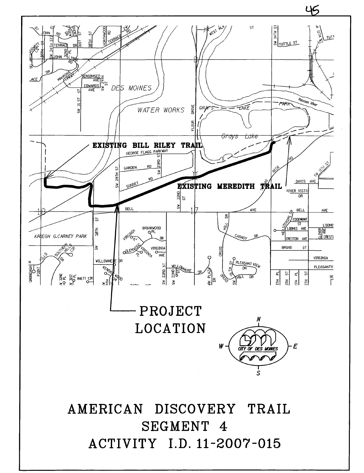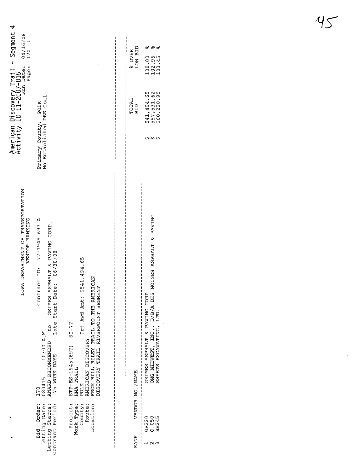|                                                                                                                                                                   |                                                                                                                                                                                                                          | % OVER<br>LOW BID           | 100.00<br>102.96<br>103.45                                                                                                                  |
|-------------------------------------------------------------------------------------------------------------------------------------------------------------------|--------------------------------------------------------------------------------------------------------------------------------------------------------------------------------------------------------------------------|-----------------------------|---------------------------------------------------------------------------------------------------------------------------------------------|
|                                                                                                                                                                   |                                                                                                                                                                                                                          | TOTAL<br>BID                | 541,494.65<br>557,531.62<br>220.90                                                                                                          |
|                                                                                                                                                                   |                                                                                                                                                                                                                          |                             | ᠊ᡐ᠊ᡃ<br>᠕                                                                                                                                   |
| Contract ID: $77-1945-697-A$<br>to GRIMES ASPHALT & PAVING CORP.<br>Late Start Date: 06/30/08<br>10:00 A.M.<br>AWARD RECOMMENDED<br>75 WORK DAYS<br>080415<br>170 | Prj Awd Amt: \$541,494.65<br>FROM BILL RILEY TRAIL TO THE AMERICAN<br>DISCOVERY TRAIL RIVERPOINT SEGMENT<br>$STP - ES - 1945(697) - 8I - 77$<br>AMERICAN DISCOVERY<br>HMA TRAIL<br>POLK<br>Project:<br>Route:<br>County: | I<br>VENDOR NO. / NAME<br>ł | OMG MIDWEST, INC., D/B/A DES MOINES ASPHALT & PAVING<br>SHEETS EXCAVATING, LTD.<br>GRIMES ASPHALT & PAVING CORP.<br>0.050<br>SH245<br>GR220 |
|                                                                                                                                                                   |                                                                                                                                                                                                                          | RANK<br>i                   |                                                                                                                                             |
|                                                                                                                                                                   | Primary County: POLK<br>No Established DBE Goal<br>Bid Order:<br>Contract Period:<br>Letting Date:<br>Letting Status:                                                                                                    | Location:<br>Work Type:     |                                                                                                                                             |

 $45$ 

 $\hat{\mathcal{A}}$ 

 $\ddot{\cdot}$ 

 $\overline{\phantom{a}}$ 

 $\frac{1}{2}$ 

 $\hat{\boldsymbol{\gamma}}$ 

 $\label{eq:2} \frac{1}{\sqrt{2}}\sum_{i=1}^n\frac{1}{\sqrt{2\pi i}}\sum_{j=1}^n\frac{1}{j!}\sum_{j=1}^n\frac{1}{j!}\sum_{j=1}^n\frac{1}{j!}\sum_{j=1}^n\frac{1}{j!}\sum_{j=1}^n\frac{1}{j!}\sum_{j=1}^n\frac{1}{j!}\sum_{j=1}^n\frac{1}{j!}\sum_{j=1}^n\frac{1}{j!}\sum_{j=1}^n\frac{1}{j!}\sum_{j=1}^n\frac{1}{j!}\sum_{j=1}^n\frac{1}{j!}\sum_{j=$ 

 $\frac{1}{2}$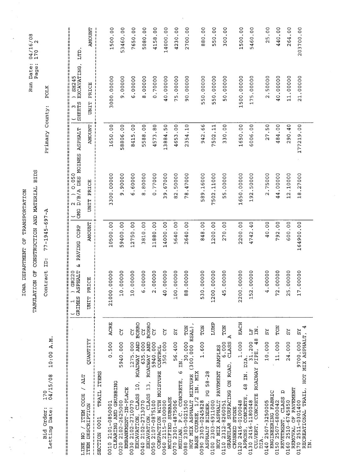|                                                                                                                              |                       | TABULATION OF                                                                               |                       | CONSTRUCTION AND MATERIAL BIDS                              |                           | Page:                                                            | $\sim$<br>170              |
|------------------------------------------------------------------------------------------------------------------------------|-----------------------|---------------------------------------------------------------------------------------------|-----------------------|-------------------------------------------------------------|---------------------------|------------------------------------------------------------------|----------------------------|
| A.M.<br>10:00<br>04/15/08<br>170<br>Bid Order:<br>Letting Date:                                                              |                       | id.<br>Contract                                                                             | $77 - 1945 - 697 - A$ |                                                             | Primary County:           | <b>POLK</b>                                                      |                            |
| Η<br>П<br>  <br>  <br>  <br>Ш<br>П<br>非川川<br>Ħ<br>  <br> <br>                                                                | ÌI<br>=========<br>== |                                                                                             | Ш                     |                                                             |                           |                                                                  |                            |
| LINE                                                                                                                         |                       | ر<br>م<br>==========<br>GR220<br><b>ASPHALT</b><br>GRIMES<br>$\mathbf{\mathbf{\mathsf{H}}}$ | PAVING CORP           | ( $2$ ) $0.050$<br>OMG $D/B/A$ DES MOINES<br>  <br>  <br>II | П<br>It<br><b>ASPHALT</b> | EXCAVATING,<br>SH245<br>SHEETS<br>II<br>ω<br>łI.<br>  <br>  <br> | <br>  <br>  <br><b>CLT</b> |
| <b>ZLILMAND</b><br><b>ALT</b><br>1<br><b>TTEM CODE</b><br><b>DESCRIPTION</b><br>$\frac{1}{2}$<br><b>LLEW</b>                 |                       | PRICE<br><b>UNIT</b>                                                                        | <b>AMOUNT</b>         | UNIT PRICE                                                  | <b>AMOUNT</b>             | PRICE<br>UNIT                                                    | <b>AMOUNT</b>              |
| TRAIL ITEMS<br>0001<br>SECTION                                                                                               |                       |                                                                                             |                       |                                                             |                           |                                                                  |                            |
| 0.500<br>GRUBBING<br>0010 2101-0850001<br>CLEARING AND                                                                       | ACRE                  | 0.00000<br>21000                                                                            | 10500.00              | 3300.00000                                                  | 1650.00                   | 3000.00000                                                       | 1500.00                    |
| 5940.000<br>EMBANKMENT-IN-PLACE<br>0020 2102-2625000                                                                         | č                     | 10.00000                                                                                    | 59400.00              | 00000.6                                                     | 58806.00                  | 9.00000                                                          | 53460.00                   |
| ROADWAY AND<br>1275.000<br>$10$ ,<br>CLASS<br>0030 2102-2710070<br>EXCAVATION,                                               | <b>BORRO</b><br>č     | 10.00000                                                                                    | 12750.00              | .60000<br>O                                                 | 8415.00                   | 6.00000                                                          | 7650.00                    |
| AND<br>635.000<br><b>ROADWAY</b><br>13,<br>CLASS<br>0040 2102-2713070<br>EXCAVATION,                                         | <b>BORRO</b><br>č     | 6.00000                                                                                     | 3810.00               | .80000<br>8                                                 | 00.<br>5588.              | 8.00000                                                          | 5080.00                    |
| 5940.000<br>CONTROL<br>COMPACTION WITH MOISTURE<br>0050 2107-0875100                                                         | ð                     | 2.00000                                                                                     | 11880.00              | 0.77000                                                     | 4573.80                   | 0.70000                                                          | 4158.00                    |
| 350.000<br>MODIFIED SUBBASE<br>0060 2115-0100000                                                                             | ੋ                     | 40.00000                                                                                    | 14000.00              | 9,67000<br>$\sim$                                           | .50<br>13884              | 40.00000                                                         | 14000.00                   |
| 56.400<br>Ă<br>Φ<br>P.C. CONCRETE,<br>2301-4875006<br>0070                                                                   | $_{\rm XS}$           | 100.00000                                                                                   | 5640.00               | 82.50000                                                    | 00.<br>4653               | 75.00000                                                         | 4230.00                    |
| $(300, 000$ ESAL),<br>30.000<br>HOT MIX ASPHALT MIXTURE<br>MEDIAN, P.C. CO<br>0080 2303-0021500                              | TON                   | 8.00000<br>$\infty$                                                                         | 2640.00               | .47000<br>78                                                | 2354.10                   | 90.00000                                                         | 2700.00                    |
| 1.600<br><b>MIX</b><br>PG 58-28<br>$\overline{H}$ .<br>1/2<br>0090 2303-0245828<br>BINDER,<br>BASE COURSE,<br><b>ASPHALT</b> | TON                   | 0.00000<br>$\overline{5}$                                                                   | 848.00                | 589.16000                                                   | 99.<br>942                | 550.00000                                                        | 880.00                     |
| PAVEMENT SAMPLES<br>HOT MIX ASPHALT<br>2303-6911000<br>0100                                                                  | LUMP                  | 1200.00000                                                                                  | 1200.00               | 7502.11000                                                  | 7502.11                   | 550.00000                                                        | 550.00                     |
| ⊲<br>CLASS<br>6.000<br>SURFACING ON ROAD,<br>2312-8260051<br><b>STONE</b><br><b>GRANULAR</b><br>CRUSHED<br>0110              | TON                   | 5.00000<br>4                                                                                | 270.00                | 55.00000                                                    | 330.00                    | 50.00000                                                         | 300.00                     |
| 1.000<br>DIA.<br>Ħ<br>48<br>CONCRETE,<br>0120 2416-0100048<br>APRONS,                                                        | EACH                  | 0.00000<br>220                                                                              | 2200.00               | 1650.00000                                                  | 1650.00                   | 1500.00000                                                       | 1500.00                    |
| 48<br>31.200<br>PIPE,<br><b>ROADWAY</b><br>CONCRETE<br>0130 2416-1180048<br>CULVERT,<br>DIA.                                 | ΞÄ.<br>$\mathbb{E}$   | 2.00000<br>is.<br>H                                                                         | 4742.40               | 192.50000                                                   | 6006.00                   | 175.00000                                                        | 5460.00                    |
| 10.000<br>ENGINEERING FABRIC<br>0140 2507-3250005                                                                            | 25                    | 4.00000                                                                                     | 40.00                 | 2.75000                                                     | 27.50                     | 2.50000                                                          | 25.00                      |
| 11.000<br>≏<br>CLASS<br>0150 2507-6800042<br>REVETMENT,                                                                      | TON                   | 72.00000                                                                                    | 792.00                | 44.00000                                                    | 484.00                    | 40.00000                                                         | 440.00                     |
| 24.000<br>REMOVAL OF PAVEMENT<br>$2510 - 6745850$<br>0160                                                                    | ΣÃ                    | 5.00000<br>$\sim$                                                                           | 600.00                | 12.10000                                                    | 290.40                    | 11.00000                                                         | 264.00                     |
| RECREATIONAL TRAIL, HOT MIX ASPHALT,<br>9700.000<br>0170 2511-0301400<br>ΣN                                                  | 4<br>25               | 17.000000                                                                                   | 164900.00             | .27000<br>$\frac{8}{1}$                                     | 177219.00                 | 21.00000                                                         | 203700.00                  |

 $\ddot{\phantom{0}}$ 

 $\hat{\mathcal{S}}$ 

IOWA DEPARTMENT OF TRANSPORTATION IOWA DEPARTMENT OF TRASPORTATION

Run Date: 04/16/08 Run Date: 04/16/08

 $\ddot{\phantom{0}}$ 

 $\ddot{\phantom{a}}$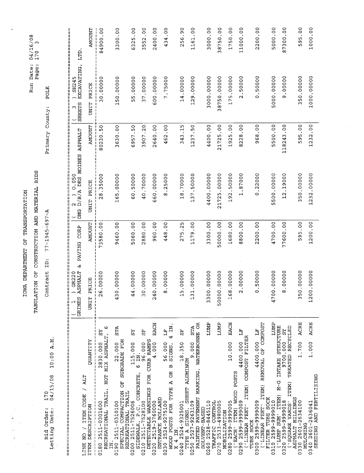|                                                                                                                                                                        | TABULATION OF                                                              |                       | CONSTRUCTION AND MATERIAL BIDS                  |                 | Run Date:<br>Page:           | $04/16/08$<br>170 3                          |
|------------------------------------------------------------------------------------------------------------------------------------------------------------------------|----------------------------------------------------------------------------|-----------------------|-------------------------------------------------|-----------------|------------------------------|----------------------------------------------|
| A.N<br>10:00<br>04/15/08<br>170<br>Bid Order:<br>Letting Date:                                                                                                         | .id<br>Contract                                                            | $77 - 1945 - 697 - A$ |                                                 | Primary County: | POLK                         |                                              |
| π<br>Ш<br>Ш<br>!!<br>!!<br>Ш<br>Ħ<br>π<br>II<br>Ш<br>н<br>ÌĨ<br>Ή<br>计儿<br>H                                                                                           | <b>ASPHALT</b><br>GR220<br>il<br>II<br><b>GRIMES</b><br>H<br>٢<br>ii<br>II | PAVING CORP           | <u>╻</u><br>$(2)$ 0.050<br>OMG D/B/A DES MOINES | <b>ASPHALT</b>  | SHEETS EXCAVATING,<br>$\sim$ | ====================<br>SH245<br><b>CLL1</b> |
| <b>QUANTITY</b><br>TTR /<br>/ ITEM CODE<br>ITEM DESCRIPTION<br>$\frac{1}{2}$<br>LINE                                                                                   | UNIT PRICE                                                                 | <b>AMOUNT</b>         | UNIT PRICE                                      | <b>AMOUNT</b>   | UNIT PRICE                   | <b>AMOUNT</b>                                |
| ဖ<br>ΣΣ<br>MIX ASPHALT,<br>2830.000<br>HOT<br>RECREATIONAL TRAIL,<br>0180 2511-0301600                                                                                 | 26.00000                                                                   | 73580.00              | 28.35000                                        | 80230.50        | 30.00000                     | 84900.00                                     |
| <b>STA</b><br>SUBGRADE FOR<br>22.000<br>ð<br>SPECIAL COMPACTION<br>RECREATIONAL TRAIL<br>0190 2511-0310100<br>$\overline{B}$ .                                         | 430.00000                                                                  | 9460.00               | 165.00000                                       | 3630.00         | 150.00000                    | 3300.00                                      |
| ΣŠ<br>115.000<br>$\overline{M}$ .<br>$\circ$<br><b>CONCRETE</b><br>0200 2511-7526006                                                                                   | 44.00000                                                                   | 5060.00               | 60.50000                                        | 6957.50         | 55.00000                     | 6325.00                                      |
| 55<br><b>CURB RAMPS</b><br>96.000<br>DETECTABLE WARNINGS FOR<br>SIDEWALK, P.C. 0<br>0210                                                                               | 30.00000                                                                   | 2880.00               | 40.70000                                        | 3907.20         | 37.00000                     | 3552.00                                      |
| EACH<br>4.000<br>0220 2519-3760000                                                                                                                                     | 240.00000                                                                  | 960.00                | 660.00000                                       | 2640.00         | 600.00000                    | 2400.00                                      |
| $4$ IN<br>Ë<br>56.000<br>STGNS,<br>$\mathbf{r}$<br>$\tilde{5}$<br>POSTS FOR TYPE A<br>ENTRANCE BOLLARD<br>0230 2524-9275100<br>IN.<br><b>WOOD</b><br>4<br>$\mathsf{X}$ | 8.00000                                                                    | 448.00                | 8.25000                                         | 462.00          | 7.75000                      | 434.00                                       |
| 뭆<br>18.350<br>0240 2524-9325001                                                                                                                                       | 15.00000                                                                   | 275.25                | 18.70000                                        | 343.15          | 14.00000                     | 256.90                                       |
| WATERBORNE OR<br><b>STA</b><br>9.000<br>SHEET ALUMINUM<br>PAVEMENT MARKING,<br>2527-9263109<br>SIGNS,<br>PAINTED<br><b>AYPE A</b><br>0250                              | 131.00000                                                                  | 1179.00               | 137.50000                                       | 1237.50         | 129.00000                    | 1161.00                                      |
| LUMP<br>0260 2528-8445110<br>SOLVENT-BASED                                                                                                                             | 3300.00000                                                                 | 3300.00               | 4400.00000                                      | 4400.00         | 3000.00000                   | 3000.00                                      |
| LUMP<br>CONTROL<br>0270 2533-4980005<br>MOBILIZATION<br>TRAFFIC                                                                                                        | 50000.00000                                                                | 50000.00              | 21725.00000                                     | 21725.00        | 38750.00000                  | 38750.00                                     |
| EACH<br>10.000<br><b>WOOD POSTS</b><br>0280 2599-9999005<br>ITEM)<br>$($ EACH'                                                                                         | 168.00000                                                                  | 1680.00               | 192.50000                                       | 1925.00         | 175.00000                    | 1750.00                                      |
| Ë<br>ITEM) COMPOST FILTER<br>4400.000<br>0290 2599-999009<br>('LINEAR FEET'<br>TUBE SOCK                                                                               | 2.00000                                                                    | 8800.00               | 1.87000                                         | 8228.00         | 2.50000                      | 11000.00                                     |
| ITEM) REMOVAL OF COMPOST<br>Ë<br>4400.000<br>FILTER TUBE SOCK<br>0300 2599-9999009<br>('LINEAR FEET'                                                                   | 0.50000                                                                    | 2200.00               | 0.22000                                         | 968.00          | 0.50000                      | 2200.00                                      |
| LUMP<br>STRUCTURE<br>SUM' ITEM) M-G INTAKE<br>0310 2599-9999010<br>TUT                                                                                                 | 4700.00000                                                                 | 4700.00               | 5500.00000                                      | 5500.00         | 5000.00000                   | 5000.00                                      |
| TREATED RECYCLED<br>52<br>9700.000<br>ITEM)<br>YARDS'<br>0320 2599-9999018<br>('SQUARE                                                                                 | 8.00000                                                                    | 77600.00              | 12.19000                                        | 118243.00       | 9.00000                      | 87300.00                                     |
| <b>ACRE</b><br>1.700<br>ASPHALT MILLINGS<br>0330 2601-2634100<br>MULCHING                                                                                              | 350.00000                                                                  | 595.00                | 350.00000                                       | 595.00          | 350.00000                    | 595.00                                       |
| <b>ACRE</b><br>1.000<br>SEEDING AND FERTILIZING<br>2601-2636041<br>0340                                                                                                | 1200.00000                                                                 | 1200.00               | 1232.00000                                      | 1232.00         | 1000.00000                   | 1000.00                                      |

IOWA DEPARTMENT OF TRANSPORTATION IOWA DEPARTMENT OF TRASPORTATION

 $\hat{\boldsymbol{\beta}}$ 

 $\overline{a}$ i<br>Line<br>Line

 $\overline{\phantom{a}}$